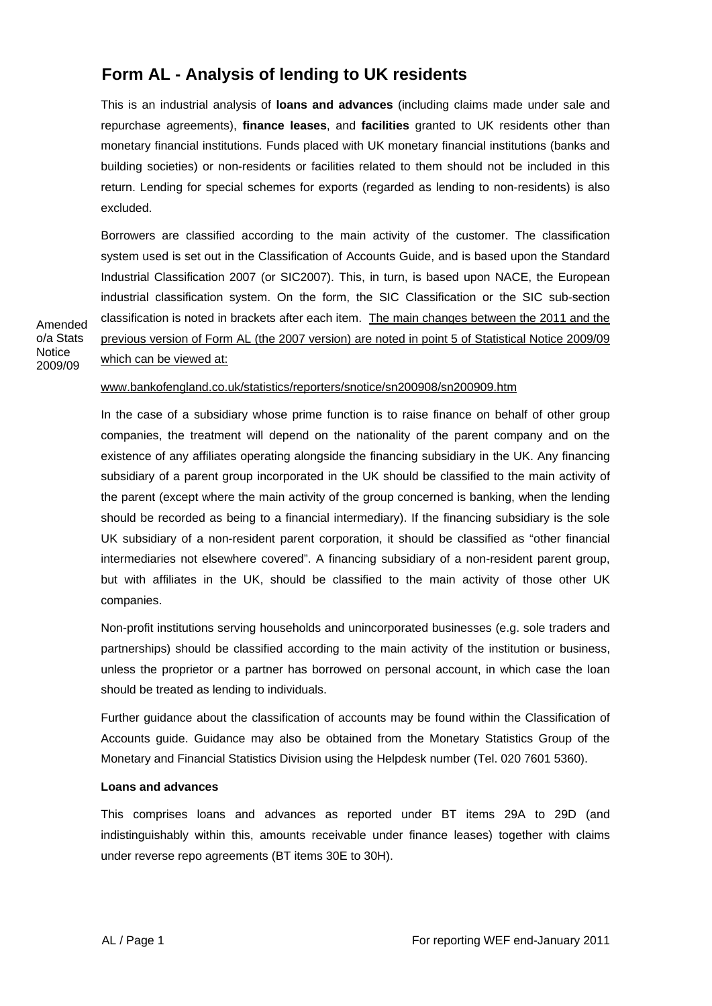## **Form AL - Analysis of lending to UK residents**

This is an industrial analysis of **loans and advances** (including claims made under sale and repurchase agreements), **finance leases**, and **facilities** granted to UK residents other than monetary financial institutions. Funds placed with UK monetary financial institutions (banks and building societies) or non-residents or facilities related to them should not be included in this return. Lending for special schemes for exports (regarded as lending to non-residents) is also excluded.

Borrowers are classified according to the main activity of the customer. The classification system used is set out in the Classification of Accounts Guide, and is based upon the Standard Industrial Classification 2007 (or SIC2007). This, in turn, is based upon NACE, the European industrial classification system. On the form, the SIC Classification or the SIC sub-section classification is noted in brackets after each item. The main changes between the 2011 and the previous version of Form AL (the 2007 version) are noted in point 5 of Statistical Notice 2009/09 which can be viewed at:

www.bankofengland.co.uk/statistics/reporters/snotice/sn200908/sn200909.htm

In the case of a subsidiary whose prime function is to raise finance on behalf of other group companies, the treatment will depend on the nationality of the parent company and on the existence of any affiliates operating alongside the financing subsidiary in the UK. Any financing subsidiary of a parent group incorporated in the UK should be classified to the main activity of the parent (except where the main activity of the group concerned is banking, when the lending should be recorded as being to a financial intermediary). If the financing subsidiary is the sole UK subsidiary of a non-resident parent corporation, it should be classified as "other financial intermediaries not elsewhere covered". A financing subsidiary of a non-resident parent group, but with affiliates in the UK, should be classified to the main activity of those other UK companies.

Non-profit institutions serving households and unincorporated businesses (e.g. sole traders and partnerships) should be classified according to the main activity of the institution or business, unless the proprietor or a partner has borrowed on personal account, in which case the loan should be treated as lending to individuals.

Further guidance about the classification of accounts may be found within the Classification of Accounts guide. Guidance may also be obtained from the Monetary Statistics Group of the Monetary and Financial Statistics Division using the Helpdesk number (Tel. 020 7601 5360).

## **Loans and advances**

Amended o/a Stats **Notice** 2009/09

> This comprises loans and advances as reported under BT items 29A to 29D (and indistinguishably within this, amounts receivable under finance leases) together with claims under reverse repo agreements (BT items 30E to 30H).